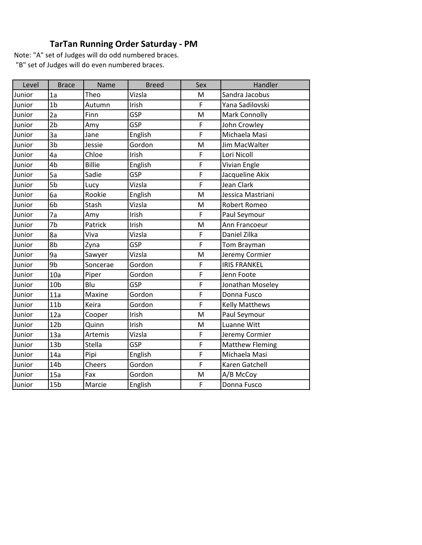## **TarTan Running Order Saturday - PM**

| Level  | <b>Brace</b>    | Name          | <b>Breed</b> | Sex         | Handler                |
|--------|-----------------|---------------|--------------|-------------|------------------------|
| Junior | 1a              | Theo          | Vizsla       | M           | Sandra Jacobus         |
| Junior | 1 <sub>b</sub>  | Autumn        | Irish        | F           | Yana Sadilovski        |
| Junior | 2a              | Finn          | <b>GSP</b>   | M           | Mark Connolly          |
| Junior | 2 <sub>b</sub>  | Amy           | <b>GSP</b>   | F           | John Crowley           |
| Junior | 3a              | Jane          | English      | F           | Michaela Masi          |
| Junior | 3 <sub>b</sub>  | Jessie        | Gordon       | M           | Jim MacWalter          |
| Junior | 4a              | Chloe         | Irish        | F           | Lori Nicoll            |
| Junior | 4b              | <b>Billie</b> | English      | F           | Vivian Engle           |
| Junior | 5a              | Sadie         | <b>GSP</b>   | F           | Jacqueline Akix        |
| Junior | 5b              | Lucy          | Vizsla       | $\mathsf F$ | Jean Clark             |
| Junior | 6a              | Rookie        | English      | M           | Jessica Mastriani      |
| Junior | 6b              | Stash         | Vizsla       | M           | Robert Romeo           |
| Junior | 7a              | Amy           | Irish        | F           | Paul Seymour           |
| Junior | 7b              | Patrick       | Irish        | M           | Ann Francoeur          |
| Junior | 8a              | Viva          | Vizsla       | F           | Daniel Zilka           |
| Junior | 8b              | Zyna          | <b>GSP</b>   | F           | Tom Brayman            |
| Junior | 9a              | Sawyer        | Vizsla       | M           | Jeremy Cormier         |
| Junior | 9b              | Soncerae      | Gordon       | F           | <b>IRIS FRANKEL</b>    |
| Junior | 10a             | Piper         | Gordon       | F           | Jenn Foote             |
| Junior | 10 <sub>b</sub> | Blu           | <b>GSP</b>   | $\mathsf F$ | Jonathan Moseley       |
| Junior | 11a             | Maxine        | Gordon       | F           | Donna Fusco            |
| Junior | 11 <sub>b</sub> | Keira         | Gordon       | F           | <b>Kelly Matthews</b>  |
| Junior | 12a             | Cooper        | Irish        | M           | Paul Seymour           |
| Junior | 12 <sub>b</sub> | Quinn         | Irish        | M           | Luanne Witt            |
| Junior | 13a             | Artemis       | Vizsla       | F           | Jeremy Cormier         |
| Junior | 13 <sub>b</sub> | <b>Stella</b> | <b>GSP</b>   | F           | <b>Matthew Fleming</b> |
| Junior | 14a             | Pipi          | English      | $\mathsf F$ | Michaela Masi          |
| Junior | 14 <sub>b</sub> | Cheers        | Gordon       | F           | Karen Gatchell         |
| Junior | 15a             | Fax           | Gordon       | M           | A/B McCoy              |
| Junior | 15 <sub>b</sub> | Marcie        | English      | F           | Donna Fusco            |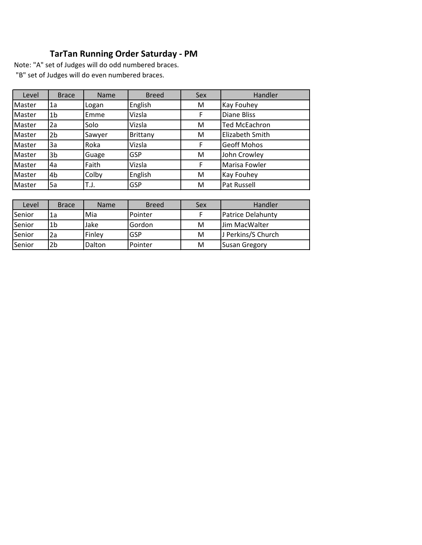## **TarTan Running Order Saturday - PM**

| Level           | <b>Brace</b> | <b>Name</b> | <b>Breed</b> | Sex | Handler                |
|-----------------|--------------|-------------|--------------|-----|------------------------|
| Master          | 1a           | Logan       | English      | M   | <b>Kay Fouhey</b>      |
| Master          | 1b           | Emme        | Vizsla       | F   | <b>Diane Bliss</b>     |
| <b>I</b> Master | 2a           | Solo        | Vizsla       | M   | <b>Ted McEachron</b>   |
| Master          | 2b           | Sawyer      | Brittany     | M   | <b>Elizabeth Smith</b> |
| Master          | 3a           | Roka        | Vizsla       | F   | <b>Geoff Mohos</b>     |
| Master          | 3b           | Guage       | <b>GSP</b>   | M   | John Crowley           |
| Master          | 4a           | Faith       | Vizsla       | F   | Marisa Fowler          |
| Master          | 4b           | Colby       | English      | M   | <b>Kay Fouhey</b>      |
| <b>I</b> Master | 5a           | T.J.        | <b>GSP</b>   | M   | Pat Russell            |

| Level  | <b>Brace</b> | <b>Name</b> | <b>Breed</b> | Sex | Handler                  |
|--------|--------------|-------------|--------------|-----|--------------------------|
| Senior | 1a           | Mia         | Pointer      |     | <b>Patrice Delahunty</b> |
| Senior | 1b           | Jake        | Gordon       | М   | Jim MacWalter            |
| Senior | 2a           | Finley      | GSP          | M   | J Perkins/S Church       |
| Senior | 2b           | Dalton      | Pointer      | M   | <b>Susan Gregory</b>     |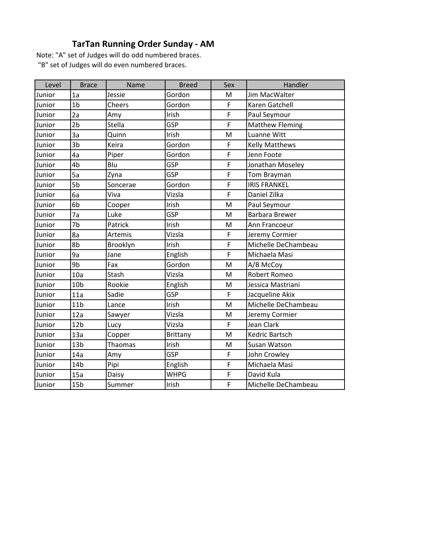## **TarTan Running Order Sunday - AM**

| Level  | <b>Brace</b>    | Name     | <b>Breed</b>    | Sex         | Handler                |
|--------|-----------------|----------|-----------------|-------------|------------------------|
| Junior | 1a              | Jessie   | Gordon          | M           | Jim MacWalter          |
| Junior | 1 <sub>b</sub>  | Cheers   | Gordon          | F           | Karen Gatchell         |
| Junior | 2a              | Amy      | Irish           | F           | Paul Seymour           |
| Junior | 2 <sub>b</sub>  | Stella   | GSP             | F           | <b>Matthew Fleming</b> |
| Junior | 3a              | Quinn    | Irish           | M           | <b>Luanne Witt</b>     |
| Junior | 3 <sub>b</sub>  | Keira    | Gordon          | F           | <b>Kelly Matthews</b>  |
| Junior | 4a              | Piper    | Gordon          | F           | Jenn Foote             |
| Junior | 4b              | Blu      | GSP             | F           | Jonathan Moseley       |
| Junior | 5a              | Zyna     | GSP             | F           | Tom Brayman            |
| Junior | 5b              | Soncerae | Gordon          | F           | <b>IRIS FRANKEL</b>    |
| Junior | 6a              | Viva     | Vizsla          | F           | Daniel Zilka           |
| Junior | 6b              | Cooper   | Irish           | M           | Paul Seymour           |
| Junior | 7a              | Luke     | GSP             | M           | <b>Barbara Brewer</b>  |
| Junior | 7b              | Patrick  | Irish           | M           | Ann Francoeur          |
| Junior | 8a              | Artemis  | Vizsla          | F           | Jeremy Cormier         |
| Junior | 8b              | Brooklyn | Irish           | $\mathsf F$ | Michelle DeChambeau    |
| Junior | 9a              | Jane     | English         | F           | Michaela Masi          |
| Junior | 9b              | Fax      | Gordon          | M           | A/B McCoy              |
| Junior | 10a             | Stash    | Vizsla          | M           | <b>Robert Romeo</b>    |
| Junior | 10 <sub>b</sub> | Rookie   | English         | M           | Jessica Mastriani      |
| Junior | 11a             | Sadie    | GSP             | F           | Jacqueline Akix        |
| Junior | 11 <sub>b</sub> | Lance    | Irish           | M           | Michelle DeChambeau    |
| Junior | 12a             | Sawyer   | Vizsla          | M           | Jeremy Cormier         |
| Junior | 12 <sub>b</sub> | Lucy     | Vizsla          | F           | <b>Jean Clark</b>      |
| Junior | 13a             | Copper   | <b>Brittany</b> | M           | Kedric Bartsch         |
| Junior | 13 <sub>b</sub> | Thaomas  | Irish           | M           | Susan Watson           |
| Junior | 14a             | Amy      | <b>GSP</b>      | F           | John Crowley           |
| Junior | 14 <sub>b</sub> | Pipi     | English         | F           | Michaela Masi          |
| Junior | 15a             | Daisy    | <b>WHPG</b>     | F           | David Kula             |
| Junior | 15 <sub>b</sub> | Summer   | Irish           | F           | Michelle DeChambeau    |